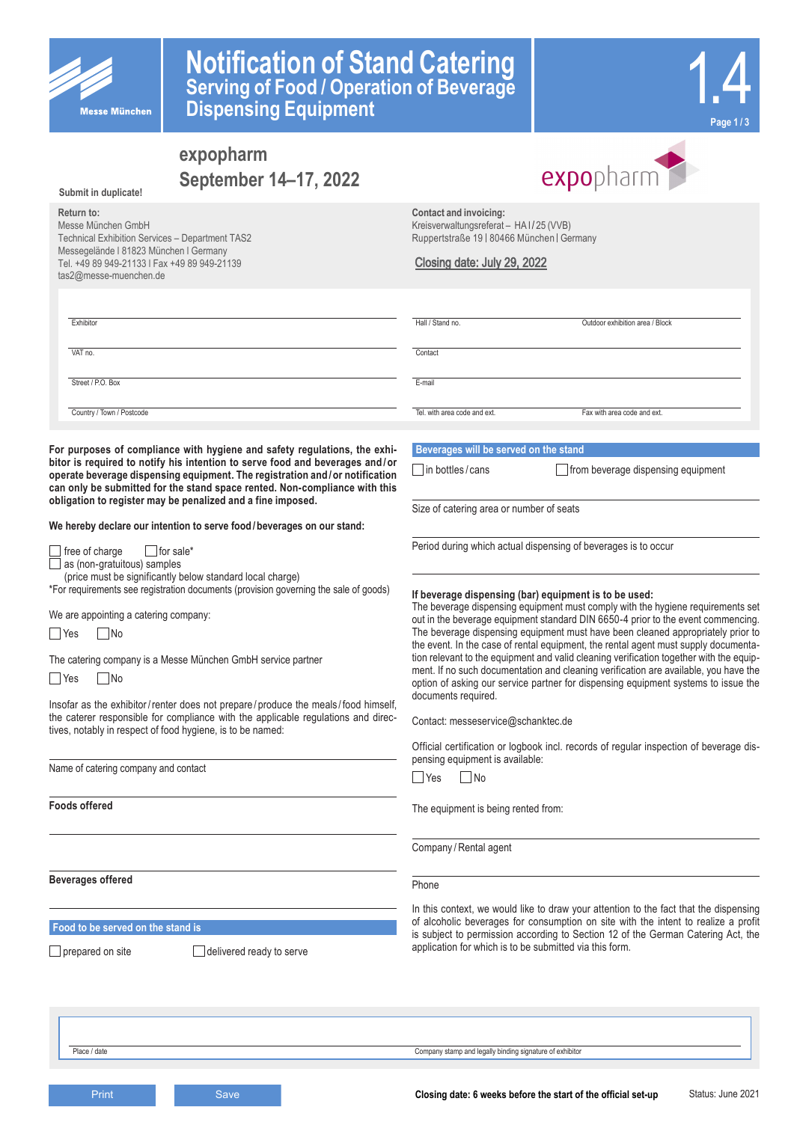

# **Notification of Stand Catering Serving of Food / Operation of Beverage Dispensing Equipment**



# **expopharm September 14–17, 2022**

**Submit in duplicate!**

#### **Return to:**

Messe München GmbH Technical Exhibition Services – Department TAS2 Messegelände l 81823 München l Germany Tel. +49 89 949-21133 l Fax +49 89 949-21139 tas2@messe-muenchen.de



**Contact and invoicing:** Kreisverwaltungsreferat - HA I / 25 (VVB) Ruppertstraße 19 | 80466 München | Germany

### Closing date: July 29, 2022

| Exhibitor                 | Hall / Stand no.             | Outdoor exhibition area / Block |
|---------------------------|------------------------------|---------------------------------|
| VAT no.                   | Contact                      |                                 |
| Street / P.O. Box         | E-mail                       |                                 |
| Country / Town / Postcode | Tel, with area code and ext. | Fax with area code and ext.     |

**For purposes of compliance with hygiene and safety regulations, the exhibitor is required to notify his intention to serve food and beverages and /or operate beverage dispensing equipment. The registration and /or notification can only be submitted for the stand space rented. Non-compliance with this obligation to register may be penalized and a fine imposed.** 

**We hereby declare our intention to serve food/beverages on our stand:**

 $\Box$  free of charge  $\Box$  for sale\* as (non-gratuitous) samples

(price must be significantly below standard local charge)

\*For requirements see registration documents (provision governing the sale of goods)

We are appointing a catering company:

|  |  | N٥ |
|--|--|----|
|--|--|----|

The catering company is a Messe München GmbH service partner

 $\Box$  Yes  $\Box$  No

Insofar as the exhibitor/renter does not prepare / produce the meals / food himself, the caterer responsible for compliance with the applicable regulations and directives, notably in respect of food hygiene, is to be named:

Name of catering company and contact

**Foods offered**

**Beverages offered**

**Food to be served on the stand is**

 $\Box$  prepared on site  $\Box$  delivered ready to serve

### **Beverages will be served on the stand**

 $\Box$  in bottles / cans  $\Box$  from beverage dispensing equipment

Size of catering area or number of seats

Period during which actual dispensing of beverages is to occur

### **If beverage dispensing (bar) equipment is to be used:**

The beverage dispensing equipment must comply with the hygiene requirements set out in the beverage equipment standard DIN 6650-4 prior to the event commencing. The beverage dispensing equipment must have been cleaned appropriately prior to the event. In the case of rental equipment, the rental agent must supply documentation relevant to the equipment and valid cleaning verification together with the equipment. If no such documentation and cleaning verification are available, you have the option of asking our service partner for dispensing equipment systems to issue the documents required.

Contact: messeservice@schanktec.de

Official certification or logbook incl. records of regular inspection of beverage dispensing equipment is available:

Yes No

The equipment is being rented from:

Company / Rental agent

Phone

In this context, we would like to draw your attention to the fact that the dispensing of alcoholic beverages for consumption on site with the intent to realize a profit is subject to permission according to Section 12 of the German Catering Act, the application for which is to be submitted via this form.

Place / date Company stamp and legally binding signature of exhibitor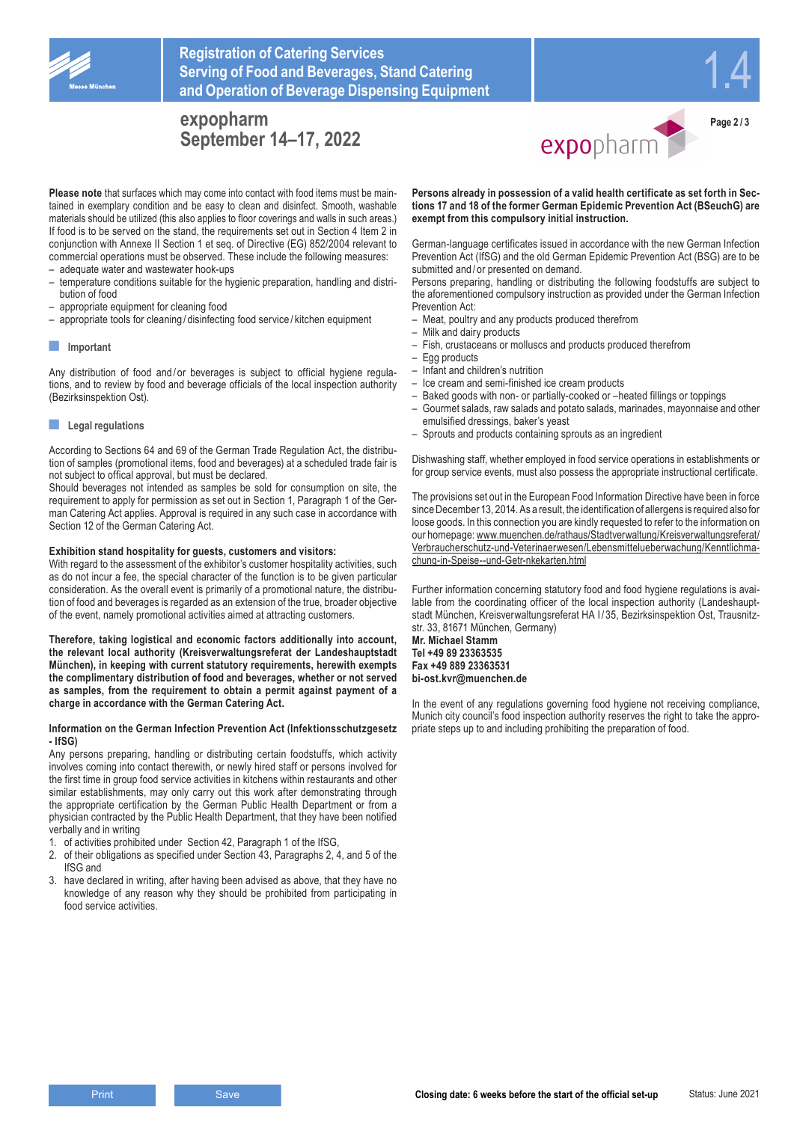

## **Registration of Catering Services Serving of Food and Beverages, Stand Catering and Operation of Beverage Dispensing Equipment**

## **expopharm September 14–17, 2022**



expopharm

**Page 2 / 3**

**Please note** that surfaces which may come into contact with food items must be maintained in exemplary condition and be easy to clean and disinfect. Smooth, washable materials should be utilized (this also applies to floor coverings and walls in such areas.) If food is to be served on the stand, the requirements set out in Section 4 Item 2 in conjunction with Annexe II Section 1 et seq. of Directive (EG) 852/2004 relevant to commercial operations must be observed. These include the following measures:

- adequate water and wastewater hook-ups
- temperature conditions suitable for the hygienic preparation, handling and distribution of food
- appropriate equipment for cleaning food
- appropriate tools for cleaning / disinfecting food service / kitchen equipment

### **■ Important**

Any distribution of food and/or beverages is subject to official hygiene regulations, and to review by food and beverage officials of the local inspection authority (Bezirksinspektion Ost).

### **■ Legal regulations**

According to Sections 64 and 69 of the German Trade Regulation Act, the distribution of samples (promotional items, food and beverages) at a scheduled trade fair is not subject to offical approval, but must be declared.

Should beverages not intended as samples be sold for consumption on site, the requirement to apply for permission as set out in Section 1, Paragraph 1 of the German Catering Act applies. Approval is required in any such case in accordance with Section 12 of the German Catering Act.

### **Exhibition stand hospitality for guests, customers and visitors:**

With regard to the assessment of the exhibitor's customer hospitality activities, such as do not incur a fee, the special character of the function is to be given particular consideration. As the overall event is primarily of a promotional nature, the distribution of food and beverages is regarded as an extension of the true, broader objective of the event, namely promotional activities aimed at attracting customers.

**Therefore, taking logistical and economic factors additionally into account, the relevant local authority (Kreisverwaltungsreferat der Landeshauptstadt München), in keeping with current statutory requirements, herewith exempts the complimentary distribution of food and beverages, whether or not served as samples, from the requirement to obtain a permit against payment of a charge in accordance with the German Catering Act.**

### **Information on the German Infection Prevention Act (Infektionsschutzgesetz - IfSG)**

Any persons preparing, handling or distributing certain foodstuffs, which activity involves coming into contact therewith, or newly hired staff or persons involved for the first time in group food service activities in kitchens within restaurants and other similar establishments, may only carry out this work after demonstrating through the appropriate certification by the German Public Health Department or from a physician contracted by the Public Health Department, that they have been notified verbally and in writing

- 1. of activities prohibited under Section 42, Paragraph 1 of the IfSG,
- 2. of their obligations as specified under Section 43, Paragraphs 2, 4, and 5 of the IfSG and
- 3. have declared in writing, after having been advised as above, that they have no knowledge of any reason why they should be prohibited from participating in food service activities.

**Persons already in possession of a valid health certificate as set forth in Sections 17 and 18 of the former German Epidemic Prevention Act (BSeuchG) are exempt from this compulsory initial instruction.**

German-language certificates issued in accordance with the new German Infection Prevention Act (IfSG) and the old German Epidemic Prevention Act (BSG) are to be submitted and / or presented on demand.

Persons preparing, handling or distributing the following foodstuffs are subject to the aforementioned compulsory instruction as provided under the German Infection Prevention Act:

- Meat, poultry and any products produced therefrom
- Milk and dairy products
- Fish, crustaceans or molluscs and products produced therefrom
- Egg products
- Infant and children's nutrition
- Ice cream and semi-finished ice cream products
- Baked goods with non- or partially-cooked or –heated fillings or toppings
- Gourmet salads, raw salads and potato salads, marinades, mayonnaise and other emulsified dressings, baker's yeast
- Sprouts and products containing sprouts as an ingredient

Dishwashing staff, whether employed in food service operations in establishments or for group service events, must also possess the appropriate instructional certificate.

The provisions set out in the European Food Information Directive have been in force since December 13, 2014. As a result, the identification of allergens is required also for loose goods. In this connection you are kindly requested to refer to the information on our homepage: www.muenchen.de/rathaus/Stadtverwaltung/Kreisverwaltungsreferat/ Verbraucherschutz-und-Veterinaerwesen/Lebensmittelueberwachung/Kenntlichmachung-in-Speise--und-Getr-nkekarten.html

Further information concerning statutory food and food hygiene regulations is available from the coordinating officer of the local inspection authority (Landeshauptstadt München, Kreisverwaltungsreferat HA I / 35, Bezirksinspektion Ost, Trausnitzstr. 33, 81671 München, Germany)

**Mr. Michael Stamm Tel +49 89 23363535 Fax +49 889 23363531 bi-ost.kvr@muenchen.de**

In the event of any regulations governing food hygiene not receiving compliance, Munich city council's food inspection authority reserves the right to take the appropriate steps up to and including prohibiting the preparation of food.